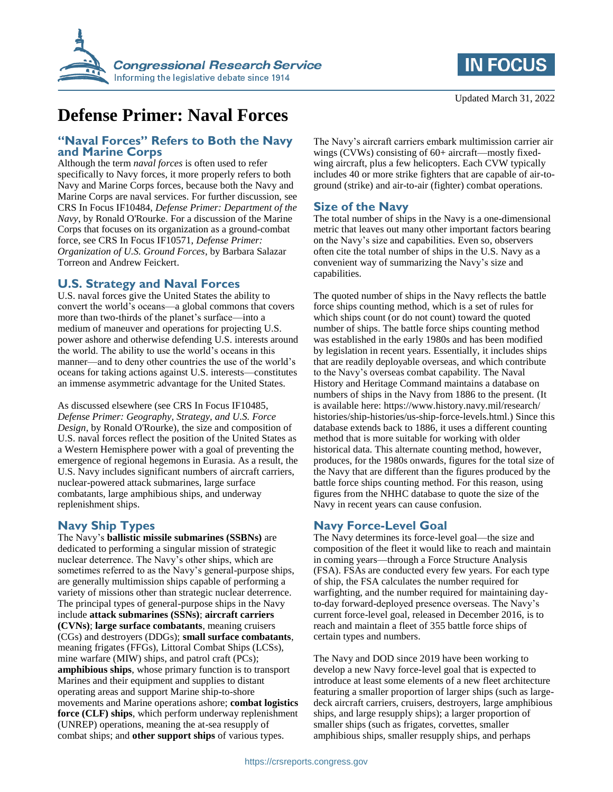



# **Defense Primer: Naval Forces**

#### **"Naval Forces" Refers to Both the Navy and Marine Corps**

Although the term *naval forces* is often used to refer specifically to Navy forces, it more properly refers to both Navy and Marine Corps forces, because both the Navy and Marine Corps are naval services. For further discussion, see CRS In Focus IF10484, *Defense Primer: Department of the Navy*, by Ronald O'Rourke. For a discussion of the Marine Corps that focuses on its organization as a ground-combat force, see CRS In Focus IF10571, *Defense Primer: Organization of U.S. Ground Forces*, by Barbara Salazar Torreon and Andrew Feickert.

#### **U.S. Strategy and Naval Forces**

U.S. naval forces give the United States the ability to convert the world's oceans—a global commons that covers more than two-thirds of the planet's surface—into a medium of maneuver and operations for projecting U.S. power ashore and otherwise defending U.S. interests around the world. The ability to use the world's oceans in this manner—and to deny other countries the use of the world's oceans for taking actions against U.S. interests—constitutes an immense asymmetric advantage for the United States.

As discussed elsewhere (see CRS In Focus IF10485, *Defense Primer: Geography, Strategy, and U.S. Force Design*, by Ronald O'Rourke), the size and composition of U.S. naval forces reflect the position of the United States as a Western Hemisphere power with a goal of preventing the emergence of regional hegemons in Eurasia. As a result, the U.S. Navy includes significant numbers of aircraft carriers, nuclear-powered attack submarines, large surface combatants, large amphibious ships, and underway replenishment ships.

# **Navy Ship Types**

The Navy's **ballistic missile submarines (SSBNs)** are dedicated to performing a singular mission of strategic nuclear deterrence. The Navy's other ships, which are sometimes referred to as the Navy's general-purpose ships, are generally multimission ships capable of performing a variety of missions other than strategic nuclear deterrence. The principal types of general-purpose ships in the Navy include **attack submarines (SSNs)**; **aircraft carriers (CVNs)**; **large surface combatants**, meaning cruisers (CGs) and destroyers (DDGs); **small surface combatants**, meaning frigates (FFGs), Littoral Combat Ships (LCSs), mine warfare (MIW) ships, and patrol craft (PCs); **amphibious ships**, whose primary function is to transport Marines and their equipment and supplies to distant operating areas and support Marine ship-to-shore movements and Marine operations ashore; **combat logistics force (CLF) ships**, which perform underway replenishment (UNREP) operations, meaning the at-sea resupply of combat ships; and **other support ships** of various types.

The Navy's aircraft carriers embark multimission carrier air wings (CVWs) consisting of 60+ aircraft—mostly fixedwing aircraft, plus a few helicopters. Each CVW typically includes 40 or more strike fighters that are capable of air-toground (strike) and air-to-air (fighter) combat operations.

### **Size of the Navy**

The total number of ships in the Navy is a one-dimensional metric that leaves out many other important factors bearing on the Navy's size and capabilities. Even so, observers often cite the total number of ships in the U.S. Navy as a convenient way of summarizing the Navy's size and capabilities.

The quoted number of ships in the Navy reflects the battle force ships counting method, which is a set of rules for which ships count (or do not count) toward the quoted number of ships. The battle force ships counting method was established in the early 1980s and has been modified by legislation in recent years. Essentially, it includes ships that are readily deployable overseas, and which contribute to the Navy's overseas combat capability. The Naval History and Heritage Command maintains a database on numbers of ships in the Navy from 1886 to the present. (It is available here: https://www.history.navy.mil/research/ histories/ship-histories/us-ship-force-levels.html.) Since this database extends back to 1886, it uses a different counting method that is more suitable for working with older historical data. This alternate counting method, however, produces, for the 1980s onwards, figures for the total size of the Navy that are different than the figures produced by the battle force ships counting method. For this reason, using figures from the NHHC database to quote the size of the Navy in recent years can cause confusion.

# **Navy Force-Level Goal**

The Navy determines its force-level goal—the size and composition of the fleet it would like to reach and maintain in coming years—through a Force Structure Analysis (FSA). FSAs are conducted every few years. For each type of ship, the FSA calculates the number required for warfighting, and the number required for maintaining dayto-day forward-deployed presence overseas. The Navy's current force-level goal, released in December 2016, is to reach and maintain a fleet of 355 battle force ships of certain types and numbers.

The Navy and DOD since 2019 have been working to develop a new Navy force-level goal that is expected to introduce at least some elements of a new fleet architecture featuring a smaller proportion of larger ships (such as largedeck aircraft carriers, cruisers, destroyers, large amphibious ships, and large resupply ships); a larger proportion of smaller ships (such as frigates, corvettes, smaller amphibious ships, smaller resupply ships, and perhaps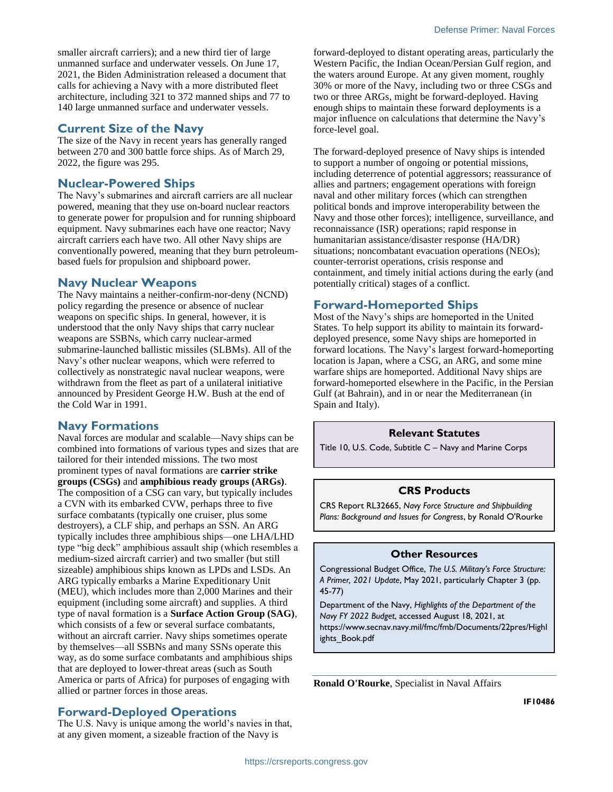smaller aircraft carriers); and a new third tier of large unmanned surface and underwater vessels. On June 17, 2021, the Biden Administration released a document that calls for achieving a Navy with a more distributed fleet architecture, including 321 to 372 manned ships and 77 to 140 large unmanned surface and underwater vessels.

#### **Current Size of the Navy**

The size of the Navy in recent years has generally ranged between 270 and 300 battle force ships. As of March 29, 2022, the figure was 295.

#### **Nuclear-Powered Ships**

The Navy's submarines and aircraft carriers are all nuclear powered, meaning that they use on-board nuclear reactors to generate power for propulsion and for running shipboard equipment. Navy submarines each have one reactor; Navy aircraft carriers each have two. All other Navy ships are conventionally powered, meaning that they burn petroleumbased fuels for propulsion and shipboard power.

#### **Navy Nuclear Weapons**

The Navy maintains a neither-confirm-nor-deny (NCND) policy regarding the presence or absence of nuclear weapons on specific ships. In general, however, it is understood that the only Navy ships that carry nuclear weapons are SSBNs, which carry nuclear-armed submarine-launched ballistic missiles (SLBMs). All of the Navy's other nuclear weapons, which were referred to collectively as nonstrategic naval nuclear weapons, were withdrawn from the fleet as part of a unilateral initiative announced by President George H.W. Bush at the end of the Cold War in 1991.

#### **Navy Formations**

Naval forces are modular and scalable—Navy ships can be combined into formations of various types and sizes that are tailored for their intended missions. The two most prominent types of naval formations are **carrier strike groups (CSGs)** and **amphibious ready groups (ARGs)**. The composition of a CSG can vary, but typically includes a CVN with its embarked CVW, perhaps three to five surface combatants (typically one cruiser, plus some destroyers), a CLF ship, and perhaps an SSN. An ARG typically includes three amphibious ships—one LHA/LHD type "big deck" amphibious assault ship (which resembles a medium-sized aircraft carrier) and two smaller (but still sizeable) amphibious ships known as LPDs and LSDs. An ARG typically embarks a Marine Expeditionary Unit (MEU), which includes more than 2,000 Marines and their equipment (including some aircraft) and supplies. A third type of naval formation is a **Surface Action Group (SAG)**, which consists of a few or several surface combatants, without an aircraft carrier. Navy ships sometimes operate by themselves—all SSBNs and many SSNs operate this way, as do some surface combatants and amphibious ships that are deployed to lower-threat areas (such as South America or parts of Africa) for purposes of engaging with allied or partner forces in those areas.

# **Forward-Deployed Operations**

The U.S. Navy is unique among the world's navies in that, at any given moment, a sizeable fraction of the Navy is

forward-deployed to distant operating areas, particularly the Western Pacific, the Indian Ocean/Persian Gulf region, and the waters around Europe. At any given moment, roughly 30% or more of the Navy, including two or three CSGs and two or three ARGs, might be forward-deployed. Having enough ships to maintain these forward deployments is a major influence on calculations that determine the Navy's force-level goal.

The forward-deployed presence of Navy ships is intended to support a number of ongoing or potential missions, including deterrence of potential aggressors; reassurance of allies and partners; engagement operations with foreign naval and other military forces (which can strengthen political bonds and improve interoperability between the Navy and those other forces); intelligence, surveillance, and reconnaissance (ISR) operations; rapid response in humanitarian assistance/disaster response (HA/DR) situations; noncombatant evacuation operations (NEOs); counter-terrorist operations, crisis response and containment, and timely initial actions during the early (and potentially critical) stages of a conflict.

# **Forward-Homeported Ships**

Most of the Navy's ships are homeported in the United States. To help support its ability to maintain its forwarddeployed presence, some Navy ships are homeported in forward locations. The Navy's largest forward-homeporting location is Japan, where a CSG, an ARG, and some mine warfare ships are homeported. Additional Navy ships are forward-homeported elsewhere in the Pacific, in the Persian Gulf (at Bahrain), and in or near the Mediterranean (in Spain and Italy).

#### **Relevant Statutes**

Title 10, U.S. Code, Subtitle C – Navy and Marine Corps

#### **CRS Products**

CRS Report RL32665, *Navy Force Structure and Shipbuilding Plans: Background and Issues for Congress*, by Ronald O'Rourke

#### **Other Resources**

Congressional Budget Office, *The U.S. Military's Force Structure: A Primer, 2021 Update*, May 2021, particularly Chapter 3 (pp. 45-77)

Department of the Navy, *Highlights of the Department of the Navy FY 2022 Budget*, accessed August 18, 2021, at https://www.secnav.navy.mil/fmc/fmb/Documents/22pres/Highl ights\_Book.pdf

**Ronald O'Rourke**, Specialist in Naval Affairs

**IF10486**